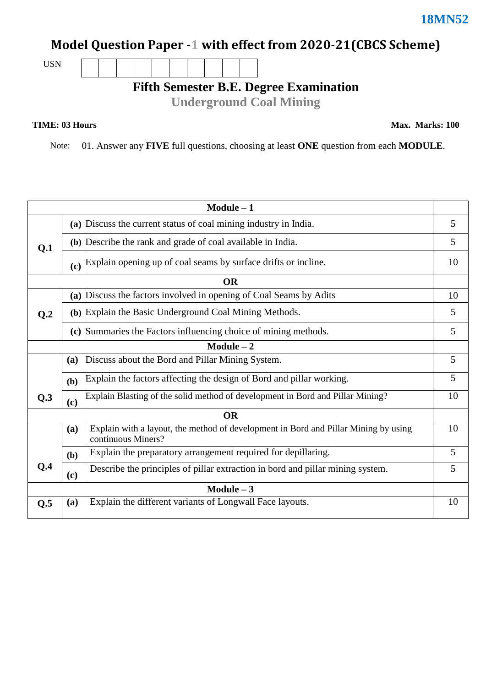## **Model Question Paper -1 with effect from 2020-21(CBCS Scheme)**

USN

## **Fifth Semester B.E. Degree Examination**

**Underground Coal Mining**

**TIME: 03 Hours** Max. Marks: 100

Note: 01. Answer any **FIVE** full questions, choosing at least **ONE** question from each **MODULE**.

| $Module - 1$   |                                                                                       |                                                                                                           |    |  |  |  |  |
|----------------|---------------------------------------------------------------------------------------|-----------------------------------------------------------------------------------------------------------|----|--|--|--|--|
|                |                                                                                       | (a) Discuss the current status of coal mining industry in India.                                          |    |  |  |  |  |
| Q.1            |                                                                                       | (b) Describe the rank and grade of coal available in India.                                               |    |  |  |  |  |
|                |                                                                                       | (c) Explain opening up of coal seams by surface drifts or incline.                                        | 10 |  |  |  |  |
| <b>OR</b>      |                                                                                       |                                                                                                           |    |  |  |  |  |
| Q <sub>0</sub> |                                                                                       | (a) Discuss the factors involved in opening of Coal Seams by Adits                                        | 10 |  |  |  |  |
|                |                                                                                       | (b) Explain the Basic Underground Coal Mining Methods.                                                    | 5  |  |  |  |  |
|                |                                                                                       | (c) Summaries the Factors influencing choice of mining methods.                                           | 5  |  |  |  |  |
| $Module - 2$   |                                                                                       |                                                                                                           |    |  |  |  |  |
|                | (a)                                                                                   | Discuss about the Bord and Pillar Mining System.                                                          | 5  |  |  |  |  |
|                | (b)                                                                                   | Explain the factors affecting the design of Bord and pillar working.                                      | 5  |  |  |  |  |
| Q.3            | Explain Blasting of the solid method of development in Bord and Pillar Mining?<br>(c) |                                                                                                           |    |  |  |  |  |
| <b>OR</b>      |                                                                                       |                                                                                                           |    |  |  |  |  |
|                | (a)                                                                                   | Explain with a layout, the method of development in Bord and Pillar Mining by using<br>continuous Miners? | 10 |  |  |  |  |
|                | (b)                                                                                   | Explain the preparatory arrangement required for depillaring.                                             | 5  |  |  |  |  |
| Q.4            | (c)                                                                                   | Describe the principles of pillar extraction in bord and pillar mining system.                            |    |  |  |  |  |
| $Module - 3$   |                                                                                       |                                                                                                           |    |  |  |  |  |
| Q.5            | (a)                                                                                   | Explain the different variants of Longwall Face layouts.                                                  | 10 |  |  |  |  |
|                |                                                                                       |                                                                                                           |    |  |  |  |  |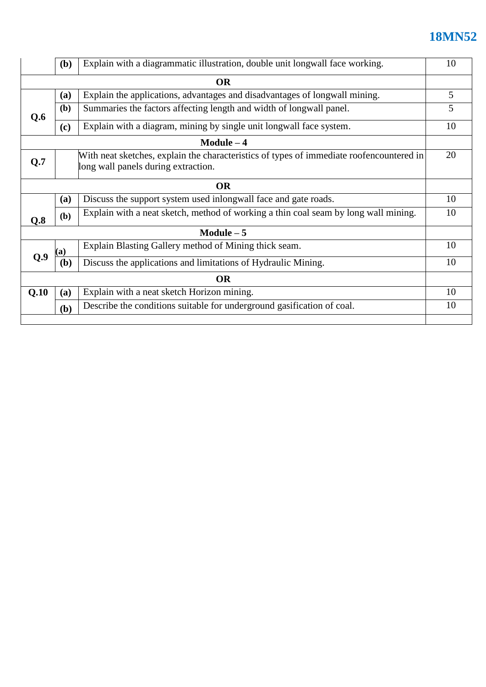## **18MN52**

|              | (b)                                                                                                                             | Explain with a diagrammatic illustration, double unit longwall face working.        |    |  |  |  |
|--------------|---------------------------------------------------------------------------------------------------------------------------------|-------------------------------------------------------------------------------------|----|--|--|--|
| <b>OR</b>    |                                                                                                                                 |                                                                                     |    |  |  |  |
|              | (a)                                                                                                                             | Explain the applications, advantages and disadvantages of longwall mining.          |    |  |  |  |
| Q.6          | (b)                                                                                                                             | Summaries the factors affecting length and width of longwall panel.                 |    |  |  |  |
|              | (c)                                                                                                                             | Explain with a diagram, mining by single unit longwall face system.                 |    |  |  |  |
| $Module - 4$ |                                                                                                                                 |                                                                                     |    |  |  |  |
| Q.7          | With neat sketches, explain the characteristics of types of immediate roofencountered in<br>long wall panels during extraction. |                                                                                     |    |  |  |  |
| <b>OR</b>    |                                                                                                                                 |                                                                                     |    |  |  |  |
|              | <b>(a)</b>                                                                                                                      | Discuss the support system used inlongwall face and gate roads.                     | 10 |  |  |  |
| Q.8          | (b)                                                                                                                             | Explain with a neat sketch, method of working a thin coal seam by long wall mining. |    |  |  |  |
| $Module - 5$ |                                                                                                                                 |                                                                                     |    |  |  |  |
|              | (a)                                                                                                                             | Explain Blasting Gallery method of Mining thick seam.                               | 10 |  |  |  |
| O.9          | (b)                                                                                                                             | Discuss the applications and limitations of Hydraulic Mining.                       | 10 |  |  |  |
| <b>OR</b>    |                                                                                                                                 |                                                                                     |    |  |  |  |
| Q.10         | (a)                                                                                                                             | Explain with a neat sketch Horizon mining.                                          | 10 |  |  |  |
|              | (b)                                                                                                                             | Describe the conditions suitable for underground gasification of coal.              |    |  |  |  |
|              |                                                                                                                                 |                                                                                     |    |  |  |  |